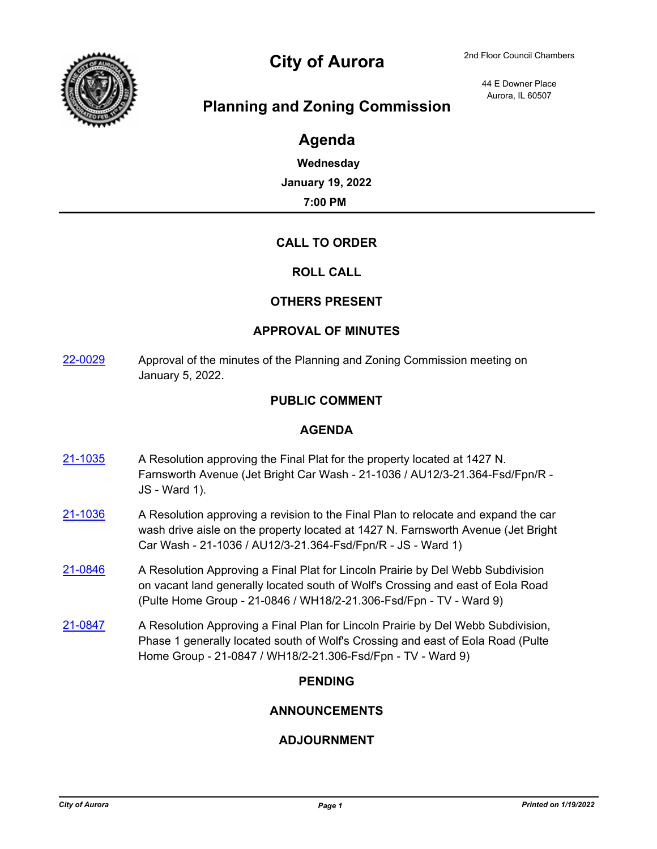

# City of Aurora 2nd Floor Council Chambers

44 E Downer Place Aurora, IL 60507

## **Planning and Zoning Commission**

## **Agenda**

**Wednesday January 19, 2022 7:00 PM**

#### **CALL TO ORDER**

#### **ROLL CALL**

#### **OTHERS PRESENT**

#### **APPROVAL OF MINUTES**

[22-0029](http://aurora-il.legistar.com/gateway.aspx?m=l&id=/matter.aspx?key=11118) Approval of the minutes of the Planning and Zoning Commission meeting on January 5, 2022.

#### **PUBLIC COMMENT**

#### **AGENDA**

- [21-1035](http://aurora-il.legistar.com/gateway.aspx?m=l&id=/matter.aspx?key=11052) A Resolution approving the Final Plat for the property located at 1427 N. Farnsworth Avenue (Jet Bright Car Wash - 21-1036 / AU12/3-21.364-Fsd/Fpn/R - JS - Ward 1).
- $21-1036$  A Resolution approving a revision to the Final Plan to relocate and expand the car wash drive aisle on the property located at 1427 N. Farnsworth Avenue (Jet Bright Car Wash - 21-1036 / AU12/3-21.364-Fsd/Fpn/R - JS - Ward 1)
- [21-0846](http://aurora-il.legistar.com/gateway.aspx?m=l&id=/matter.aspx?key=10863) A Resolution Approving a Final Plat for Lincoln Prairie by Del Webb Subdivision on vacant land generally located south of Wolf's Crossing and east of Eola Road (Pulte Home Group - 21-0846 / WH18/2-21.306-Fsd/Fpn - TV - Ward 9)
- [21-0847](http://aurora-il.legistar.com/gateway.aspx?m=l&id=/matter.aspx?key=10864) A Resolution Approving a Final Plan for Lincoln Prairie by Del Webb Subdivision, Phase 1 generally located south of Wolf's Crossing and east of Eola Road (Pulte Home Group - 21-0847 / WH18/2-21.306-Fsd/Fpn - TV - Ward 9)

#### **PENDING**

#### **ANNOUNCEMENTS**

#### **ADJOURNMENT**